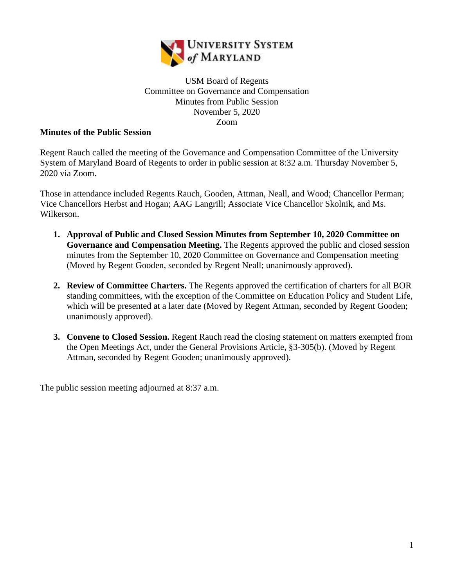

## USM Board of Regents Committee on Governance and Compensation Minutes from Public Session November 5, 2020 Zoom

## **Minutes of the Public Session**

Regent Rauch called the meeting of the Governance and Compensation Committee of the University System of Maryland Board of Regents to order in public session at 8:32 a.m. Thursday November 5, 2020 via Zoom.

Those in attendance included Regents Rauch, Gooden, Attman, Neall, and Wood; Chancellor Perman; Vice Chancellors Herbst and Hogan; AAG Langrill; Associate Vice Chancellor Skolnik, and Ms. Wilkerson.

- **1. Approval of Public and Closed Session Minutes from September 10, 2020 Committee on Governance and Compensation Meeting.** The Regents approved the public and closed session minutes from the September 10, 2020 Committee on Governance and Compensation meeting (Moved by Regent Gooden, seconded by Regent Neall; unanimously approved).
- **2. Review of Committee Charters.** The Regents approved the certification of charters for all BOR standing committees, with the exception of the Committee on Education Policy and Student Life, which will be presented at a later date (Moved by Regent Attman, seconded by Regent Gooden; unanimously approved).
- **3. Convene to Closed Session.** Regent Rauch read the closing statement on matters exempted from the Open Meetings Act, under the General Provisions Article, §3-305(b). (Moved by Regent Attman, seconded by Regent Gooden; unanimously approved).

The public session meeting adjourned at 8:37 a.m.